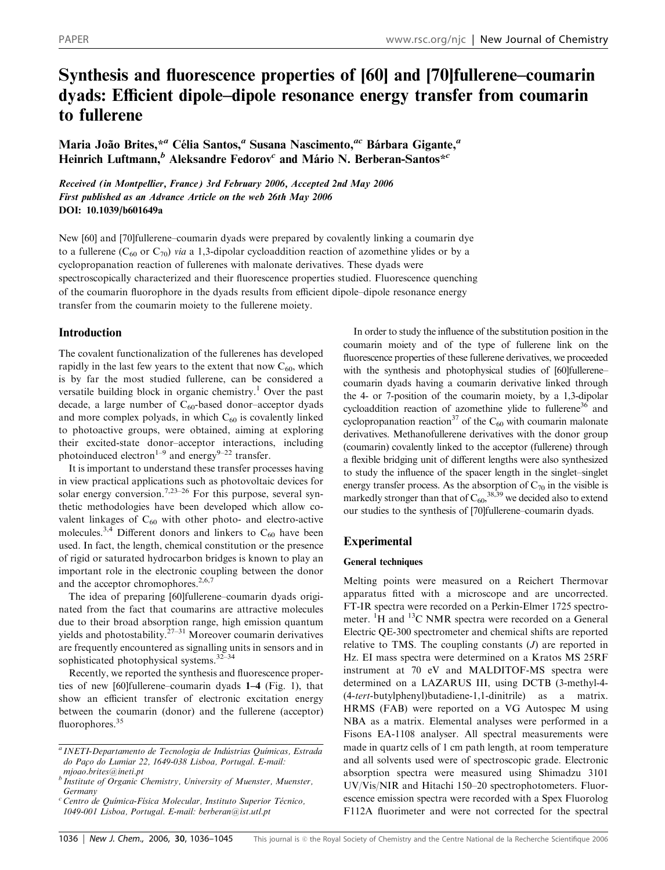# Synthesis and fluorescence properties of [60] and [70]fullerene–coumarin dyads: Efficient dipole–dipole resonance energy transfer from coumarin to fullerene

Maria João Brites,\*<sup>a</sup> Célia Santos,<sup>a</sup> Susana Nascimento,<sup>ac</sup> Bárbara Gigante,<sup>a</sup> Heinrich Luftmann,<sup>b</sup> Aleksandre Fedorov<sup>c</sup> and Mário N. Berberan-Santos\*<sup>c</sup>

Received (in Montpellier, France) 3rd February 2006, Accepted 2nd May 2006 First published as an Advance Article on the web 26th May 2006 DOI: 10.1039/b601649a

New [60] and [70]fullerene–coumarin dyads were prepared by covalently linking a coumarin dye to a fullerene (C<sub>60</sub> or C<sub>70</sub>) via a 1,3-dipolar cycloaddition reaction of azomethine ylides or by a cyclopropanation reaction of fullerenes with malonate derivatives. These dyads were spectroscopically characterized and their fluorescence properties studied. Fluorescence quenching of the coumarin fluorophore in the dyads results from efficient dipole–dipole resonance energy transfer from the coumarin moiety to the fullerene moiety.

# Introduction

The covalent functionalization of the fullerenes has developed rapidly in the last few years to the extent that now  $C_{60}$ , which is by far the most studied fullerene, can be considered a versatile building block in organic chemistry.<sup>1</sup> Over the past decade, a large number of  $C_{60}$ -based donor-acceptor dyads and more complex polyads, in which  $C_{60}$  is covalently linked to photoactive groups, were obtained, aiming at exploring their excited-state donor–acceptor interactions, including photoinduced electron<sup>1–9</sup> and energy<sup>9–22</sup> transfer.

It is important to understand these transfer processes having in view practical applications such as photovoltaic devices for solar energy conversion.<sup>7,23–26</sup> For this purpose, several synthetic methodologies have been developed which allow covalent linkages of  $C_{60}$  with other photo- and electro-active molecules.<sup>3,4</sup> Different donors and linkers to  $C_{60}$  have been used. In fact, the length, chemical constitution or the presence of rigid or saturated hydrocarbon bridges is known to play an important role in the electronic coupling between the donor and the acceptor chromophores.<sup>2,6,7</sup>

The idea of preparing [60]fullerene–coumarin dyads originated from the fact that coumarins are attractive molecules due to their broad absorption range, high emission quantum yields and photostability.<sup>27–31</sup> Moreover coumarin derivatives are frequently encountered as signalling units in sensors and in sophisticated photophysical systems.32–34

Recently, we reported the synthesis and fluorescence properties of new [60]fullerene–coumarin dyads 1–4 (Fig. 1), that show an efficient transfer of electronic excitation energy between the coumarin (donor) and the fullerene (acceptor) fluorophores.<sup>35</sup>

In order to study the influence of the substitution position in the coumarin moiety and of the type of fullerene link on the fluorescence properties of these fullerene derivatives, we proceeded with the synthesis and photophysical studies of [60]fullerene– coumarin dyads having a coumarin derivative linked through the 4- or 7-position of the coumarin moiety, by a 1,3-dipolar cycloaddition reaction of azomethine ylide to fullerene<sup>36</sup> and cyclopropanation reaction<sup>37</sup> of the C<sub>60</sub> with coumarin malonate derivatives. Methanofullerene derivatives with the donor group (coumarin) covalently linked to the acceptor (fullerene) through a flexible bridging unit of different lengths were also synthesized to study the influence of the spacer length in the singlet–singlet energy transfer process. As the absorption of  $C_{70}$  in the visible is markedly stronger than that of  $C_{60}$ ,  $^{38,39}$  we decided also to extend our studies to the synthesis of [70]fullerene–coumarin dyads.

# Experimental

## General techniques

Melting points were measured on a Reichert Thermovar apparatus fitted with a microscope and are uncorrected. FT-IR spectra were recorded on a Perkin-Elmer 1725 spectrometer. <sup>1</sup>H and <sup>13</sup>C NMR spectra were recorded on a General Electric QE-300 spectrometer and chemical shifts are reported relative to TMS. The coupling constants  $(J)$  are reported in Hz. EI mass spectra were determined on a Kratos MS 25RF instrument at 70 eV and MALDITOF-MS spectra were determined on a LAZARUS III, using DCTB (3-methyl-4- (4-tert-butylphenyl)butadiene-1,1-dinitrile) as a matrix. HRMS (FAB) were reported on a VG Autospec M using NBA as a matrix. Elemental analyses were performed in a Fisons EA-1108 analyser. All spectral measurements were made in quartz cells of 1 cm path length, at room temperature and all solvents used were of spectroscopic grade. Electronic absorption spectra were measured using Shimadzu 3101 UV/Vis/NIR and Hitachi 150–20 spectrophotometers. Fluorescence emission spectra were recorded with a Spex Fluorolog F112A fluorimeter and were not corrected for the spectral

 $a$  INETI-Departamento de Tecnologia de Indústrias Químicas, Estrada do Paço do Lumiar 22, 1649-038 Lisboa, Portugal. E-mail: mjoao.brites@ineti.pt

 $b$  Institute of Organic Chemistry, University of Muenster, Muenster, **Germany** 

<sup>&</sup>lt;sup>c</sup> Centro de Química-Física Molecular, Instituto Superior Técnico, 1049-001 Lisboa, Portugal. E-mail: berberan@ist.utl.pt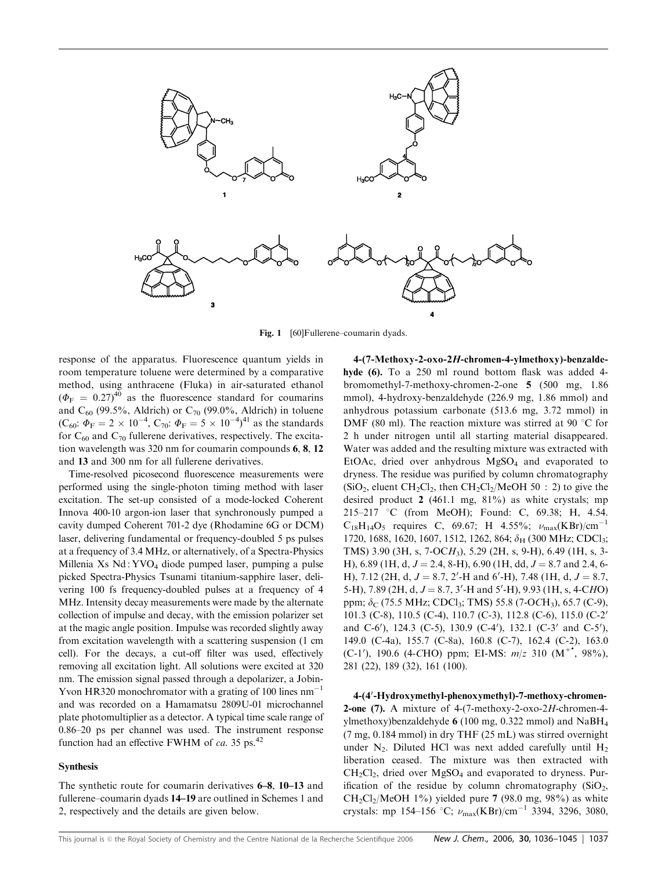

Fig. 1 [60]Fullerene–coumarin dyads.

response of the apparatus. Fluorescence quantum yields in room temperature toluene were determined by a comparative method, using anthracene (Fluka) in air-saturated ethanol  $(\Phi_{\rm F} = 0.27)^{40}$  as the fluorescence standard for coumarins and  $C_{60}$  (99.5%, Aldrich) or  $C_{70}$  (99.0%, Aldrich) in toluene (C<sub>60</sub>:  $\Phi_F = 2 \times 10^{-4}$ , C<sub>70</sub>:  $\Phi_F = 5 \times 10^{-4}$ )<sup>41</sup> as the standards for  $C_{60}$  and  $C_{70}$  fullerene derivatives, respectively. The excitation wavelength was 320 nm for coumarin compounds 6, 8, 12 and 13 and 300 nm for all fullerene derivatives.

Time-resolved picosecond fluorescence measurements were performed using the single-photon timing method with laser excitation. The set-up consisted of a mode-locked Coherent Innova 400-10 argon-ion laser that synchronously pumped a cavity dumped Coherent 701-2 dye (Rhodamine 6G or DCM) laser, delivering fundamental or frequency-doubled 5 ps pulses at a frequency of 3.4 MHz, or alternatively, of a Spectra-Physics Millenia Xs Nd : YVO4 diode pumped laser, pumping a pulse picked Spectra-Physics Tsunami titanium-sapphire laser, delivering 100 fs frequency-doubled pulses at a frequency of 4 MHz. Intensity decay measurements were made by the alternate collection of impulse and decay, with the emission polarizer set at the magic angle position. Impulse was recorded slightly away from excitation wavelength with a scattering suspension (1 cm cell). For the decays, a cut-off filter was used, effectively removing all excitation light. All solutions were excited at 320 nm. The emission signal passed through a depolarizer, a Jobin-Yvon HR320 monochromator with a grating of 100 lines  $nm^{-1}$ and was recorded on a Hamamatsu 2809U-01 microchannel plate photomultiplier as a detector. A typical time scale range of 0.86–20 ps per channel was used. The instrument response function had an effective FWHM of ca. 35 ps.<sup>42</sup>

#### Synthesis

The synthetic route for coumarin derivatives 6–8, 10–13 and fullerene–coumarin dyads 14–19 are outlined in Schemes 1 and 2, respectively and the details are given below.

4-(7-Methoxy-2-oxo-2H-chromen-4-ylmethoxy)-benzaldehyde (6). To a 250 ml round bottom flask was added 4 bromomethyl-7-methoxy-chromen-2-one 5 (500 mg, 1.86 mmol), 4-hydroxy-benzaldehyde (226.9 mg, 1.86 mmol) and anhydrous potassium carbonate (513.6 mg, 3.72 mmol) in DMF (80 ml). The reaction mixture was stirred at 90  $^{\circ}$ C for 2 h under nitrogen until all starting material disappeared. Water was added and the resulting mixture was extracted with EtOAc, dried over anhydrous MgSO4 and evaporated to dryness. The residue was purified by column chromatography  $(SiO<sub>2</sub>,$  eluent CH<sub>2</sub>Cl<sub>2</sub>, then CH<sub>2</sub>Cl<sub>2</sub>/MeOH 50 : 2) to give the desired product 2 (461.1 mg, 81%) as white crystals; mp 215–217 °C (from MeOH); Found: C, 69.38; H, 4.54.  $C_{18}H_{14}O_5$  requires C, 69.67; H 4.55%;  $\nu_{max}(KBr)/cm^{-1}$ 1720, 1688, 1620, 1607, 1512, 1262, 864;  $\delta_H$  (300 MHz; CDCl<sub>3</sub>; TMS) 3.90 (3H, s, 7-OCH3), 5.29 (2H, s, 9-H), 6.49 (1H, s, 3- H), 6.89 (1H, d,  $J = 2.4$ , 8-H), 6.90 (1H, dd,  $J = 8.7$  and 2.4, 6-H), 7.12 (2H, d,  $J = 8.7$ , 2'-H and 6'-H), 7.48 (1H, d,  $J = 8.7$ , 5-H), 7.89 (2H, d,  $J = 8.7$ , 3'-H and 5'-H), 9.93 (1H, s, 4-CHO) ppm;  $\delta_C$  (75.5 MHz; CDCl<sub>3</sub>; TMS) 55.8 (7-OCH<sub>3</sub>), 65.7 (C-9), 101.3 (C-8), 110.5 (C-4), 110.7 (C-3), 112.8 (C-6), 115.0 (C-2' and C-6'), 124.3 (C-5), 130.9 (C-4'), 132.1 (C-3' and C-5'), 149.0 (C-4a), 155.7 (C-8a), 160.8 (C-7), 162.4 (C-2), 163.0 (C-1'), 190.6 (4-CHO) ppm; EI-MS:  $m/z$  310 (M<sup>+\*</sup>, 98%), 281 (22), 189 (32), 161 (100).

4-(4'-Hydroxymethyl-phenoxymethyl)-7-methoxy-chromen-**2-one (7).** A mixture of  $4-(7-methoxy-2-oxo-2H-chromen-4$ ylmethoxy)benzaldehyde 6 (100 mg, 0.322 mmol) and  $NaBH<sub>4</sub>$ (7 mg, 0.184 mmol) in dry THF (25 mL) was stirred overnight under  $N_2$ . Diluted HCl was next added carefully until  $H_2$ liberation ceased. The mixture was then extracted with  $CH_2Cl_2$ , dried over  $MgSO_4$  and evaporated to dryness. Purification of the residue by column chromatography  $(SiO<sub>2</sub>,$  $CH_2Cl_2/MeOH$  1%) yielded pure 7 (98.0 mg, 98%) as white crystals: mp 154–156 °C;  $\nu_{\text{max}}(\text{KBr})/\text{cm}^{-1}$  3394, 3296, 3080,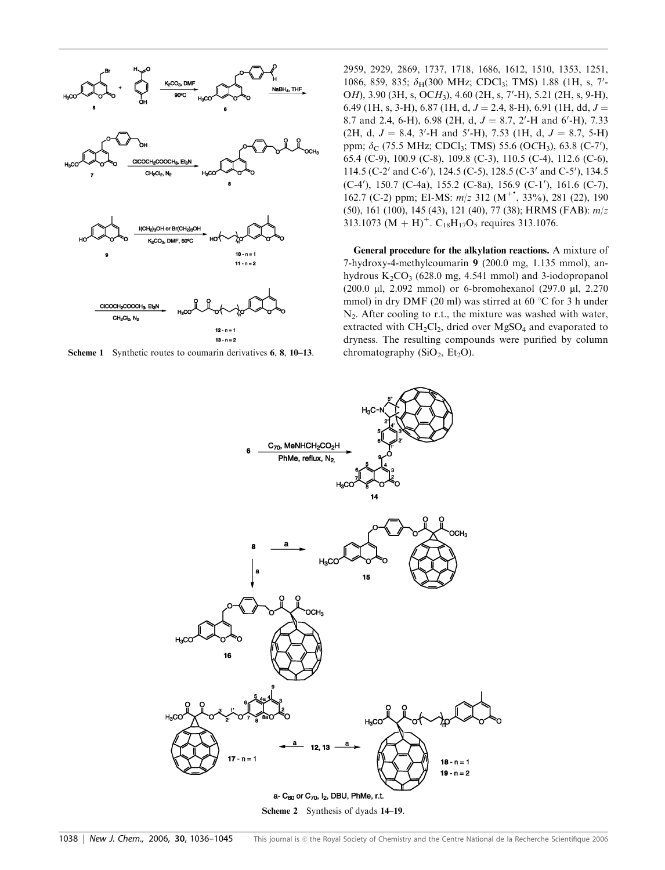

**Scheme 1** Synthetic routes to coumarin derivatives 6, 8, 10–13. chromatography ( $SiO<sub>2</sub>$ ,  $Et<sub>2</sub>O$ ).

2959, 2929, 2869, 1737, 1718, 1686, 1612, 1510, 1353, 1251, 1086, 859, 835; δ<sub>H</sub>(300 MHz; CDCl<sub>3</sub>; TMS) 1.88 (1H, s, 7'-OH), 3.90 (3H, s, OCH<sub>3</sub>), 4.60 (2H, s, 7'-H), 5.21 (2H, s, 9-H), 6.49 (1H, s, 3-H), 6.87 (1H, d,  $J = 2.4$ , 8-H), 6.91 (1H, dd,  $J =$ 8.7 and 2.4, 6-H), 6.98 (2H, d,  $J = 8.7$ , 2'-H and 6'-H), 7.33  $(2H, d, J = 8.4, 3'$ -H and 5'-H), 7.53 (1H, d,  $J = 8.7, 5$ -H) ppm;  $\delta_C$  (75.5 MHz; CDCl<sub>3</sub>; TMS) 55.6 (OCH<sub>3</sub>), 63.8 (C-7'), 65.4 (C-9), 100.9 (C-8), 109.8 (C-3), 110.5 (C-4), 112.6 (C-6), 114.5 (C-2' and C-6'), 124.5 (C-5), 128.5 (C-3' and C-5'), 134.5 (C-4'), 150.7 (C-4a), 155.2 (C-8a), 156.9 (C-1'), 161.6 (C-7), 162.7 (C-2) ppm; EI-MS:  $m/z$  312 (M<sup>+\*</sup>, 33%), 281 (22), 190 (50), 161 (100), 145 (43), 121 (40), 77 (38); HRMS (FAB): m/z 313.1073 (M + H)<sup>+</sup>. C<sub>18</sub>H<sub>17</sub>O<sub>5</sub> requires 313.1076.

General procedure for the alkylation reactions. A mixture of 7-hydroxy-4-methylcoumarin 9 (200.0 mg, 1.135 mmol), anhydrous  $K_2CO_3$  (628.0 mg, 4.541 mmol) and 3-iodopropanol (200.0 ml, 2.092 mmol) or 6-bromohexanol (297.0 ml, 2.270 mmol) in dry DMF (20 ml) was stirred at 60  $\degree$ C for 3 h under N2. After cooling to r.t., the mixture was washed with water, extracted with  $CH_2Cl_2$ , dried over  $MgSO_4$  and evaporated to dryness. The resulting compounds were purified by column

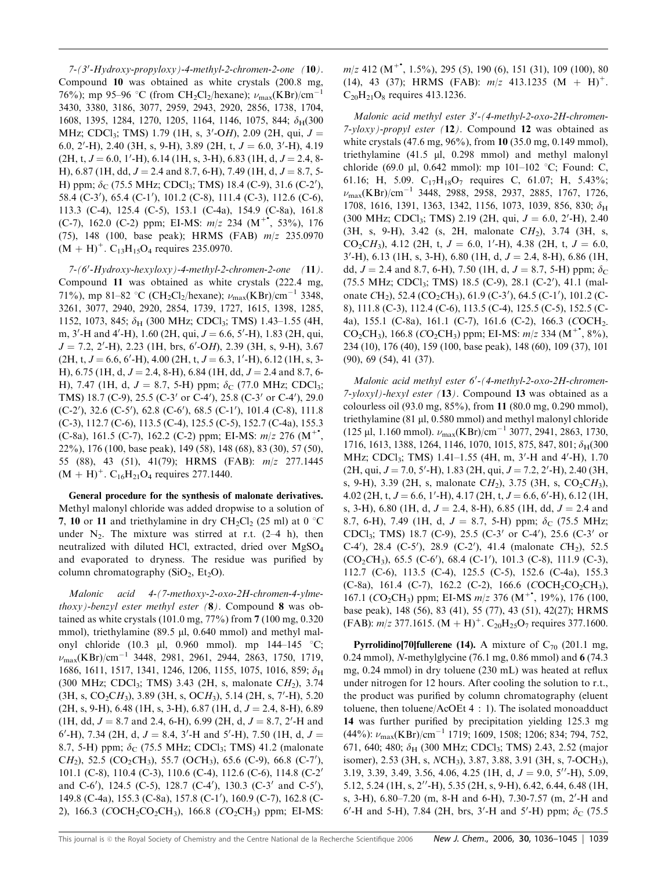7-(3'-Hydroxy-propyloxy)-4-methyl-2-chromen-2-one (10). Compound 10 was obtained as white crystals (200.8 mg, 76%); mp 95–96 °C (from CH<sub>2</sub>Cl<sub>2</sub>/hexane);  $\nu_{\text{max}}(KBr)/cm^{-1}$ 3430, 3380, 3186, 3077, 2959, 2943, 2920, 2856, 1738, 1704, 1608, 1395, 1284, 1270, 1205, 1164, 1146, 1075, 844;  $\delta_H(300)$ MHz; CDCl<sub>3</sub>; TMS) 1.79 (1H, s, 3'-OH), 2.09 (2H, qui,  $J =$ 6.0, 2'-H), 2.40 (3H, s, 9-H), 3.89 (2H, t,  $J = 6.0, 3'$ -H), 4.19  $(2H, t, J = 6.0, 1'$ -H $), 6.14$  (1H, s, 3-H $), 6.83$  (1H, d,  $J = 2.4, 8$ -H), 6.87 (1H, dd,  $J = 2.4$  and 8.7, 6-H), 7.49 (1H, d,  $J = 8.7$ , 5-H) ppm;  $\delta$ <sub>C</sub> (75.5 MHz; CDCl<sub>3</sub>; TMS) 18.4 (C-9), 31.6 (C-2'), 58.4 (C-3'), 65.4 (C-1'), 101.2 (C-8), 111.4 (C-3), 112.6 (C-6), 113.3 (C-4), 125.4 (C-5), 153.1 (C-4a), 154.9 (C-8a), 161.8 (C-7), 162.0 (C-2) ppm; EI-MS:  $m/z$  234 (M<sup>+\*</sup>, 53%), 176 (75), 148 (100, base peak); HRMS (FAB) m/z 235.0970  $(M + H)^{+}$ . C<sub>13</sub>H<sub>15</sub>O<sub>4</sub> requires 235.0970.

 $7-(6'-Hydroxy-hexyloxy) -4-methyl-2-chromen-2-one$  (11). Compound 11 was obtained as white crystals (222.4 mg, 71%), mp 81–82 °C (CH<sub>2</sub>Cl<sub>2</sub>/hexane);  $\nu_{\text{max}}(\text{KBr})/\text{cm}^{-1}$  3348, 3261, 3077, 2940, 2920, 2854, 1739, 1727, 1615, 1398, 1285, 1152, 1073, 845;  $\delta_H$  (300 MHz; CDCl<sub>3</sub>; TMS) 1.43–1.55 (4H, m, 3'-H and 4'-H), 1.60 (2H, qui,  $J = 6.6$ , 5'-H), 1.83 (2H, qui,  $J = 7.2, 2'$ -H), 2.23 (1H, brs, 6'-OH), 2.39 (3H, s, 9-H), 3.67  $(2H, t, J = 6.6, 6'$ -H), 4.00  $(2H, t, J = 6.3, 1'$ -H), 6.12  $(1H, s, 3-$ H), 6.75 (1H, d,  $J = 2.4$ , 8-H), 6.84 (1H, dd,  $J = 2.4$  and 8.7, 6-H), 7.47 (1H, d,  $J = 8.7$ , 5-H) ppm;  $\delta_C$  (77.0 MHz; CDCl<sub>3</sub>; TMS) 18.7 (C-9), 25.5 (C-3' or C-4'), 25.8 (C-3' or C-4'), 29.0 (C-2'), 32.6 (C-5'), 62.8 (C-6'), 68.5 (C-1'), 101.4 (C-8), 111.8 (C-3), 112.7 (C-6), 113.5 (C-4), 125.5 (C-5), 152.7 (C-4a), 155.3 (C-8a), 161.5 (C-7), 162.2 (C-2) ppm; EI-MS:  $m/z$  276 (M<sup>+\*</sup>, 22%), 176 (100, base peak), 149 (58), 148 (68), 83 (30), 57 (50), 55 (88), 43 (51), 41(79); HRMS (FAB): m/z 277.1445  $(M + H)^+$ . C<sub>16</sub>H<sub>21</sub>O<sub>4</sub> requires 277.1440.

General procedure for the synthesis of malonate derivatives. Methyl malonyl chloride was added dropwise to a solution of 7, 10 or 11 and triethylamine in dry CH<sub>2</sub>Cl<sub>2</sub> (25 ml) at 0  $\degree$ C under  $N_2$ . The mixture was stirred at r.t. (2–4 h), then neutralized with diluted HCl, extracted, dried over MgSO4 and evaporated to dryness. The residue was purified by column chromatography ( $SiO<sub>2</sub>$ ,  $Et<sub>2</sub>O$ ).

Malonic acid 4-(7-methoxy-2-oxo-2H-chromen-4-ylmethoxy)-benzyl ester methyl ester (8). Compound 8 was obtained as white crystals (101.0 mg, 77%) from 7 (100 mg, 0.320 mmol), triethylamine (89.5 µl, 0.640 mmol) and methyl malonyl chloride (10.3  $\mu$ l, 0.960 mmol). mp 144–145 °C;  $\nu_{\text{max}}(KBr)/cm^{-1}$  3448, 2981, 2961, 2944, 2863, 1750, 1719, 1686, 1611, 1517, 1341, 1246, 1206, 1155, 1075, 1016, 859;  $\delta_H$ (300 MHz; CDCl<sub>3</sub>; TMS) 3.43 (2H, s, malonate CH<sub>2</sub>), 3.74  $(3H, s, CO_2CH_3), 3.89 (3H, s, OCH_3), 5.14 (2H, s, 7'-H), 5.20$  $(2H, s, 9-H), 6.48$  (1H, s, 3-H), 6.87 (1H, d,  $J = 2.4$ , 8-H), 6.89  $(1H, dd, J = 8.7 \text{ and } 2.4, 6-H)$ , 6.99 (2H, d,  $J = 8.7, 2'$ -H and  $6'$ -H), 7.34 (2H, d,  $J = 8.4$ , 3'-H and 5'-H), 7.50 (1H, d,  $J =$ 8.7, 5-H) ppm;  $\delta_C$  (75.5 MHz; CDCl<sub>3</sub>; TMS) 41.2 (malonate CH<sub>2</sub>), 52.5 (CO<sub>2</sub>CH<sub>3</sub>), 55.7 (OCH<sub>3</sub>), 65.6 (C-9), 66.8 (C-7'), 101.1 (C-8), 110.4 (C-3), 110.6 (C-4), 112.6 (C-6), 114.8 (C-2' and C-6'), 124.5 (C-5), 128.7 (C-4'), 130.3 (C-3' and C-5'), 149.8 (C-4a), 155.3 (C-8a), 157.8 (C-1'), 160.9 (C-7), 162.8 (C-2), 166.3 (COCH<sub>2</sub>CO<sub>2</sub>CH<sub>3</sub>), 166.8 (CO<sub>2</sub>CH<sub>3</sub>) ppm; EI-MS:

 $m/z$  412 (M<sup>+•</sup>, 1.5%), 295 (5), 190 (6), 151 (31), 109 (100), 80 (14), 43 (37); HRMS (FAB):  $m/z$  413.1235 (M + H)<sup>+</sup>.  $C_{20}H_{21}O_8$  requires 413.1236.

Malonic acid methyl ester 3'-(4-methyl-2-oxo-2H-chromen-7-yloxy)-propyl ester  $(12)$ . Compound 12 was obtained as white crystals (47.6 mg, 96%), from 10 (35.0 mg, 0.149 mmol), triethylamine (41.5 ml, 0.298 mmol) and methyl malonyl chloride (69.0 µl, 0.642 mmol): mp  $101-102$  °C; Found: C, 61.16; H, 5.09.  $C_{17}H_{18}O_7$  requires C, 61.07; H, 5.43%;  $\nu_{\text{max}}(KBr)/cm^{-1}$  3448, 2988, 2958, 2937, 2885, 1767, 1726, 1708, 1616, 1391, 1363, 1342, 1156, 1073, 1039, 856, 830;  $\delta_{\rm H}$  $(300 \text{ MHz}; \text{CDCl}_3; \text{TMS})$  2.19 (2H, qui,  $J = 6.0, 2'$ -H), 2.40  $(3H, s, 9-H), 3.42$  (s, 2H, malonate  $CH<sub>2</sub>$ ), 3.74 (3H, s, CO<sub>2</sub>CH<sub>3</sub>), 4.12 (2H, t,  $J = 6.0$ , 1'-H), 4.38 (2H, t,  $J = 6.0$ ,  $3'$ -H), 6.13 (1H, s, 3-H), 6.80 (1H, d,  $J = 2.4$ , 8-H), 6.86 (1H, dd,  $J = 2.4$  and 8.7, 6-H), 7.50 (1H, d,  $J = 8.7$ , 5-H) ppm;  $\delta_c$ (75.5 MHz; CDCl<sub>3</sub>; TMS) 18.5 (C-9), 28.1 (C-2'), 41.1 (malonate CH<sub>2</sub>), 52.4 (CO<sub>2</sub>CH<sub>3</sub>), 61.9 (C-3'), 64.5 (C-1'), 101.2 (C-8), 111.8 (C-3), 112.4 (C-6), 113.5 (C-4), 125.5 (C-5), 152.5 (C-4a), 155.1 (C-8a), 161.1 (C-7), 161.6 (C-2), 166.3 (COCH2- CO<sub>2</sub>CH<sub>3</sub>), 166.8 (CO<sub>2</sub>CH<sub>3</sub>) ppm; EI-MS:  $m/z$  334 (M<sup>+\*</sup>, 8%), 234 (10), 176 (40), 159 (100, base peak), 148 (60), 109 (37), 101 (90), 69 (54), 41 (37).

Malonic acid methyl ester 6'-(4-methyl-2-oxo-2H-chromen- $7$ -yloxyl)-hexyl ester (13). Compound 13 was obtained as a colourless oil (93.0 mg, 85%), from 11 (80.0 mg, 0.290 mmol), triethylamine  $(81 \mu l, 0.580 \text{ mmol})$  and methyl malonyl chloride (125 µl, 1.160 mmol).  $\nu_{\text{max}}(\text{KBr})/\text{cm}^{-1}$  3077, 2941, 2863, 1730, 1716, 1613, 1388, 1264, 1146, 1070, 1015, 875, 847, 801;  $\delta_H(300)$ MHz; CDCl<sub>3</sub>; TMS) 1.41-1.55 (4H, m, 3'-H and 4'-H), 1.70  $(2H, qui, J = 7.0, 5'$ -H $), 1.83$   $(2H, qui, J = 7.2, 2'$ -H $), 2.40$   $(3H,$ s, 9-H), 3.39 (2H, s, malonate  $CH_2$ ), 3.75 (3H, s,  $CO_2CH_3$ ),  $4.02$  (2H, t,  $J = 6.6$ , 1'-H),  $4.17$  (2H, t,  $J = 6.6$ , 6'-H),  $6.12$  (1H, s, 3-H), 6.80 (1H, d,  $J = 2.4$ , 8-H), 6.85 (1H, dd,  $J = 2.4$  and 8.7, 6-H), 7.49 (1H, d,  $J = 8.7$ , 5-H) ppm;  $\delta_C$  (75.5 MHz; CDCl<sub>3</sub>; TMS) 18.7 (C-9), 25.5 (C-3' or C-4'), 25.6 (C-3' or C-4'), 28.4 (C-5'), 28.9 (C-2'), 41.4 (malonate CH<sub>2</sub>), 52.5  $(CO_2CH_3)$ , 65.5  $(C-6')$ , 68.4  $(C-1')$ , 101.3  $(C-8)$ , 111.9  $(C-3)$ , 112.7 (C-6), 113.5 (C-4), 125.5 (C-5), 152.6 (C-4a), 155.3 (C-8a), 161.4 (C-7), 162.2 (C-2), 166.6 (COCH<sub>2</sub>CO<sub>2</sub>CH<sub>3</sub>), 167.1 (CO<sub>2</sub>CH<sub>3</sub>) ppm; EI-MS  $m/z$  376 (M<sup>+\*</sup>, 19%), 176 (100, base peak), 148 (56), 83 (41), 55 (77), 43 (51), 42(27); HRMS (FAB):  $m/z$  377.1615.  $(M + H)^{+}$ . C<sub>20</sub>H<sub>25</sub>O<sub>7</sub> requires 377.1600.

**Pyrrolidino[70]fullerene (14).** A mixture of  $C_{70}$  (201.1 mg, 0.24 mmol), N-methylglycine (76.1 mg, 0.86 mmol) and 6 (74.3 mg, 0.24 mmol) in dry toluene (230 mL) was heated at reflux under nitrogen for 12 hours. After cooling the solution to r.t., the product was purified by column chromatography (eluent toluene, then toluene/AcOEt 4 : 1). The isolated monoadduct 14 was further purified by precipitation yielding 125.3 mg  $(44\%)$ :  $\nu_{\text{max}}$ (KBr)/cm<sup>-1</sup> 1719; 1609, 1508; 1206; 834; 794, 752, 671, 640; 480;  $\delta_H$  (300 MHz; CDCl<sub>3</sub>; TMS) 2.43, 2.52 (major isomer), 2.53 (3H, s, NCH<sub>3</sub>), 3.87, 3.88, 3.91 (3H, s, 7-OCH<sub>3</sub>), 3.19, 3.39, 3.49, 3.56, 4.06, 4.25 (1H, d,  $J = 9.0$ , 5''-H), 5.09,  $5.12, 5.24$  (1H, s, 2''-H),  $5.35$  (2H, s, 9-H), 6.42, 6.44, 6.48 (1H, s, 3-H), 6.80–7.20 (m, 8-H and 6-H), 7.30-7.57 (m, 2'-H and 6'-H and 5-H), 7.84 (2H, brs, 3'-H and 5'-H) ppm;  $\delta$ <sub>C</sub> (75.5)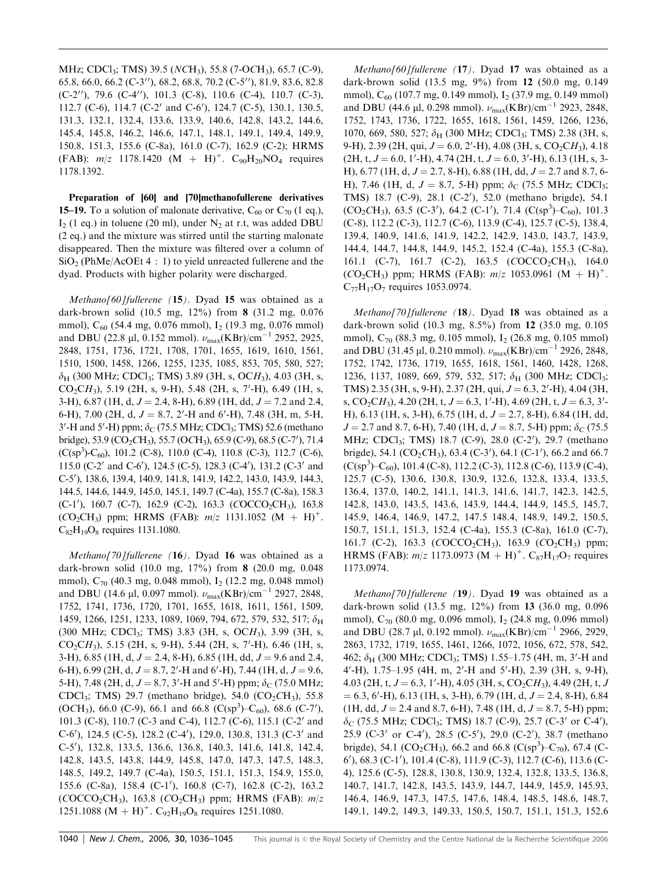MHz; CDCl<sub>3</sub>; TMS) 39.5 (NCH<sub>3</sub>), 55.8 (7-OCH<sub>3</sub>), 65.7 (C-9), 65.8, 66.0, 66.2 (C-3"), 68.2, 68.8, 70.2 (C-5"), 81.9, 83.6, 82.8  $(C-2'')$ , 79.6  $(C-4'')$ , 101.3  $(C-8)$ , 110.6  $(C-4)$ , 110.7  $(C-3)$ , 112.7 (C-6), 114.7 (C-2' and C-6'), 124.7 (C-5), 130.1, 130.5, 131.3, 132.1, 132.4, 133.6, 133.9, 140.6, 142.8, 143.2, 144.6, 145.4, 145.8, 146.2, 146.6, 147.1, 148.1, 149.1, 149.4, 149.9, 150.8, 151.3, 155.6 (C-8a), 161.0 (C-7), 162.9 (C-2); HRMS (FAB):  $m/z$  1178.1420 (M + H)<sup>+</sup>. C<sub>90</sub>H<sub>20</sub>NO<sub>4</sub> requires 1178.1392.

Preparation of [60] and [70]methanofullerene derivatives **15–19.** To a solution of malonate derivative,  $C_{60}$  or  $C_{70}$  (1 eq.),  $I_2$  (1 eq.) in toluene (20 ml), under  $N_2$  at r.t, was added DBU (2 eq.) and the mixture was stirred until the starting malonate disappeared. Then the mixture was filtered over a column of  $SiO<sub>2</sub>$  (PhMe/AcOEt 4 : 1) to yield unreacted fullerene and the dyad. Products with higher polarity were discharged.

Methano[60]fullerene (15). Dyad 15 was obtained as a dark-brown solid (10.5 mg, 12%) from 8 (31.2 mg, 0.076 mmol), C<sub>60</sub> (54.4 mg, 0.076 mmol), I<sub>2</sub> (19.3 mg, 0.076 mmol) and DBU (22.8 µl, 0.152 mmol).  $\nu_{\text{max}}(\text{KBr})/\text{cm}^{-1}$  2952, 2925, 2848, 1751, 1736, 1721, 1708, 1701, 1655, 1619, 1610, 1561, 1510, 1500, 1458, 1266, 1255, 1235, 1085, 853, 705, 580, 527;  $\delta_H$  (300 MHz; CDCl<sub>3</sub>; TMS) 3.89 (3H, s, OCH<sub>3</sub>), 4.03 (3H, s,  $CO_2CH_3$ ), 5.19 (2H, s, 9-H), 5.48 (2H, s, 7'-H), 6.49 (1H, s, 3-H), 6.87 (1H, d,  $J = 2.4$ , 8-H), 6.89 (1H, dd,  $J = 7.2$  and 2.4, 6-H), 7.00 (2H, d,  $J = 8.7$ , 2'-H and 6'-H), 7.48 (3H, m, 5-H,  $3'$ -H and  $5'$ -H) ppm;  $\delta$ <sub>C</sub> (75.5 MHz; CDCl<sub>3</sub>; TMS) 52.6 (methano bridge), 53.9 (CO<sub>2</sub>CH<sub>3</sub>), 55.7 (OCH<sub>3</sub>), 65.9 (C-9), 68.5 (C-7'), 71.4  $(C(sp<sup>3</sup>)-C<sub>60</sub>)$ , 101.2 (C-8), 110.0 (C-4), 110.8 (C-3), 112.7 (C-6), 115.0 (C-2' and C-6'), 124.5 (C-5), 128.3 (C-4'), 131.2 (C-3' and C-5<sup>0</sup> ), 138.6, 139.4, 140.9, 141.8, 141.9, 142.2, 143.0, 143.9, 144.3, 144.5, 144.6, 144.9, 145.0, 145.1, 149.7 (C-4a), 155.7 (C-8a), 158.3 (C-1'), 160.7 (C-7), 162.9 (C-2), 163.3 (COCCO<sub>2</sub>CH<sub>3</sub>), 163.8  $(CO_2CH_3)$  ppm; HRMS (FAB):  $m/z$  1131.1052 (M + H)<sup>+</sup>.  $C_{82}H_{19}O_8$  requires 1131.1080.

Methano[70]fullerene (16). Dyad 16 was obtained as a dark-brown solid (10.0 mg, 17%) from 8 (20.0 mg, 0.048 mmol), C<sub>70</sub> (40.3 mg, 0.048 mmol), I<sub>2</sub> (12.2 mg, 0.048 mmol) and DBU (14.6 µl, 0.097 mmol).  $\nu_{\text{max}}(\text{KBr})/\text{cm}^{-1}$  2927, 2848, 1752, 1741, 1736, 1720, 1701, 1655, 1618, 1611, 1561, 1509, 1459, 1266, 1251, 1233, 1089, 1069, 794, 672, 579, 532, 517;  $\delta_H$ (300 MHz; CDCl3; TMS) 3.83 (3H, s, OCH3), 3.99 (3H, s,  $CO_2CH_3$ ), 5.15 (2H, s, 9-H), 5.44 (2H, s, 7'-H), 6.46 (1H, s, 3-H), 6.85 (1H, d,  $J = 2.4$ , 8-H), 6.85 (1H, dd,  $J = 9.6$  and 2.4, 6-H), 6.99 (2H, d,  $J = 8.7$ , 2'-H and 6'-H), 7.44 (1H, d,  $J = 9.6$ , 5-H), 7.48 (2H, d,  $J = 8.7$ , 3'-H and 5'-H) ppm;  $\delta_C$  (75.0 MHz; CDCl<sub>3</sub>; TMS) 29.7 (methano bridge), 54.0 (CO<sub>2</sub>CH<sub>3</sub>), 55.8 (OCH<sub>3</sub>), 66.0 (C-9), 66.1 and 66.8 (C(sp<sup>3</sup>)–C<sub>60</sub>), 68.6 (C-7'), 101.3 (C-8), 110.7 (C-3 and C-4), 112.7 (C-6), 115.1 (C-2' and C-6'), 124.5 (C-5), 128.2 (C-4'), 129.0, 130.8, 131.3 (C-3' and C-5<sup>0</sup> ), 132.8, 133.5, 136.6, 136.8, 140.3, 141.6, 141.8, 142.4, 142.8, 143.5, 143.8, 144.9, 145.8, 147.0, 147.3, 147.5, 148.3, 148.5, 149.2, 149.7 (C-4a), 150.5, 151.1, 151.3, 154.9, 155.0, 155.6 (C-8a), 158.4 (C-1'), 160.8 (C-7), 162.8 (C-2), 163.2 (COCCO<sub>2</sub>CH<sub>3</sub>), 163.8 (CO<sub>2</sub>CH<sub>3</sub>) ppm; HRMS (FAB):  $m/z$ 1251.1088 (M + H)<sup>+</sup>. C<sub>92</sub>H<sub>19</sub>O<sub>8</sub> requires 1251.1080.

Methano[60]fullerene (17). Dyad 17 was obtained as a dark-brown solid (13.5 mg, 9%) from 12 (50.0 mg, 0.149 mmol),  $C_{60}$  (107.7 mg, 0.149 mmol), I<sub>2</sub> (37.9 mg, 0.149 mmol) and DBU (44.6 µl, 0.298 mmol).  $\nu_{\text{max}}(\text{KBr})/\text{cm}^{-1}$  2923, 2848, 1752, 1743, 1736, 1722, 1655, 1618, 1561, 1459, 1266, 1236, 1070, 669, 580, 527;  $\delta_H$  (300 MHz; CDCl<sub>3</sub>; TMS) 2.38 (3H, s, 9-H), 2.39 (2H, qui,  $J = 6.0$ , 2'-H), 4.08 (3H, s, CO<sub>2</sub>CH<sub>3</sub>), 4.18  $(2H, t, J = 6.0, 1'$ -H $), 4.74$   $(2H, t, J = 6.0, 3'$ -H $), 6.13$   $(1H, s, 3-1)$ H), 6.77 (1H, d,  $J = 2.7$ , 8-H), 6.88 (1H, dd,  $J = 2.7$  and 8.7, 6-H), 7.46 (1H, d,  $J = 8.7$ , 5-H) ppm;  $\delta_C$  (75.5 MHz; CDCl<sub>3</sub>; TMS) 18.7 (C-9), 28.1 (C-2'), 52.0 (methano brigde), 54.1  $(CO_2CH_3)$ , 63.5  $(C-3')$ , 64.2  $(C-1')$ , 71.4  $(C(sp^3)-C_{60})$ , 101.3 (C-8), 112.2 (C-3), 112.7 (C-6), 113.9 (C-4), 125.7 (C-5), 138.4, 139.4, 140.9, 141.6, 141.9, 142.2, 142.9, 143.0, 143.7, 143.9, 144.4, 144.7, 144.8, 144.9, 145.2, 152.4 (C-4a), 155.3 (C-8a), 161.1 (C-7), 161.7 (C-2), 163.5 (COCCO<sub>2</sub>CH<sub>3</sub>), 164.0  $(CO_2CH_3)$  ppm; HRMS (FAB):  $m/z$  1053.0961 (M + H)<sup>+</sup>.  $C_{77}H_{17}O_7$  requires 1053.0974.

Methano[70]fullerene (18). Dyad 18 was obtained as a dark-brown solid (10.3 mg, 8.5%) from 12 (35.0 mg, 0.105 mmol), C<sub>70</sub> (88.3 mg, 0.105 mmol), I<sub>2</sub> (26.8 mg, 0.105 mmol) and DBU (31.45 µl, 0.210 mmol).  $\nu_{\text{max}}(\text{KBr})/\text{cm}^{-1}$  2926, 2848, 1752, 1742, 1736, 1719, 1655, 1618, 1561, 1460, 1428, 1268, 1236, 1137, 1089, 669, 579, 532, 517;  $\delta_H$  (300 MHz; CDCl<sub>3</sub>; TMS) 2.35 (3H, s, 9-H), 2.37 (2H, qui,  $J = 6.3$ , 2'-H), 4.04 (3H, s, CO<sub>2</sub>CH<sub>3</sub>), 4.20 (2H, t,  $J = 6.3$ , 1'-H), 4.69 (2H, t,  $J = 6.3$ , 3'-H), 6.13 (1H, s, 3-H), 6.75 (1H, d,  $J = 2.7$ , 8-H), 6.84 (1H, dd,  $J = 2.7$  and 8.7, 6-H), 7.40 (1H, d,  $J = 8.7$ , 5-H) ppm;  $\delta_C$  (75.5) MHz; CDCl<sub>3</sub>; TMS) 18.7 (C-9), 28.0 (C-2'), 29.7 (methano brigde), 54.1 (CO<sub>2</sub>CH<sub>3</sub>), 63.4 (C-3'), 64.1 (C-1'), 66.2 and 66.7  $(C(sp<sup>3</sup>)-C<sub>60</sub>), 101.4 (C-8), 112.2 (C-3), 112.8 (C-6), 113.9 (C-4),$ 125.7 (C-5), 130.6, 130.8, 130.9, 132.6, 132.8, 133.4, 133.5, 136.4, 137.0, 140.2, 141.1, 141.3, 141.6, 141.7, 142.3, 142.5, 142.8, 143.0, 143.5, 143.6, 143.9, 144.4, 144.9, 145.5, 145.7, 145.9, 146.4, 146.9, 147.2, 147.5 148.4, 148.9, 149.2, 150.5, 150.7, 151.1, 151.3, 152.4 (C-4a), 155.3 (C-8a), 161.0 (C-7), 161.7 (C-2), 163.3 ( $COCCO_2CH_3$ ), 163.9 ( $CO_2CH_3$ ) ppm; HRMS (FAB):  $m/z$  1173.0973 (M + H)<sup>+</sup>. C<sub>87</sub>H<sub>17</sub>O<sub>7</sub> requires 1173.0974.

Methano[70]fullerene (19). Dyad 19 was obtained as a dark-brown solid (13.5 mg, 12%) from 13 (36.0 mg, 0.096 mmol), C<sub>70</sub> (80.0 mg, 0.096 mmol), I<sub>2</sub> (24.8 mg, 0.096 mmol) and DBU (28.7 µl, 0.192 mmol).  $\nu_{\text{max}}(\text{KBr})/\text{cm}^{-1}$  2966, 2929, 2863, 1732, 1719, 1655, 1461, 1266, 1072, 1056, 672, 578, 542, 462;  $\delta_H$  (300 MHz; CDCl<sub>3</sub>; TMS) 1.55–1.75 (4H, m, 3'-H and 4'-H), 1.75-1.95 (4H, m, 2'-H and 5'-H), 2.39 (3H, s, 9-H), 4.03 (2H, t,  $J = 6.3$ , 1'-H), 4.05 (3H, s, CO<sub>2</sub>CH<sub>3</sub>), 4.49 (2H, t, J  $= 6.3, 6'$ -H), 6.13 (1H, s, 3-H), 6.79 (1H, d,  $J = 2.4, 8$ -H), 6.84 (1H, dd,  $J = 2.4$  and 8.7, 6-H), 7.48 (1H, d,  $J = 8.7$ , 5-H) ppm;  $\delta_C$  (75.5 MHz; CDCl<sub>3</sub>; TMS) 18.7 (C-9), 25.7 (C-3<sup>*i*</sup> or C-4<sup>*i*</sup>), 25.9 (C-3' or C-4'), 28.5 (C-5'), 29.0 (C-2'), 38.7 (methano brigde), 54.1 (CO<sub>2</sub>CH<sub>3</sub>), 66.2 and 66.8 (C(sp<sup>3</sup>)–C<sub>70</sub>), 67.4 (C-6<sup>'</sup>), 68.3 (C-1<sup>'</sup>), 101.4 (C-8), 111.9 (C-3), 112.7 (C-6), 113.6 (C-4), 125.6 (C-5), 128.8, 130.8, 130.9, 132.4, 132.8, 133.5, 136.8, 140.7, 141.7, 142.8, 143.5, 143.9, 144.7, 144.9, 145.9, 145.93, 146.4, 146.9, 147.3, 147.5, 147.6, 148.4, 148.5, 148.6, 148.7, 149.1, 149.2, 149.3, 149.33, 150.5, 150.7, 151.1, 151.3, 152.6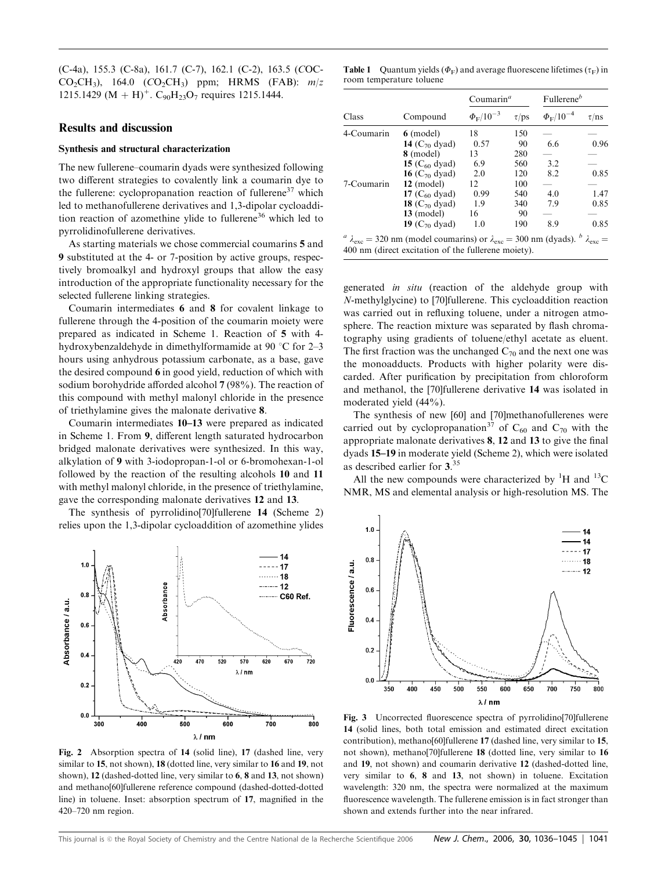(C-4a), 155.3 (C-8a), 161.7 (C-7), 162.1 (C-2), 163.5 (COC- $CO_2CH_3$ ), 164.0  $(CO_2CH_3)$  ppm; HRMS (FAB):  $m/z$ 1215.1429 (M + H)<sup>+</sup>. C<sub>90</sub>H<sub>23</sub>O<sub>7</sub> requires 1215.1444.

## Results and discussion

#### Synthesis and structural characterization

The new fullerene–coumarin dyads were synthesized following two different strategies to covalently link a coumarin dye to the fullerene: cyclopropanation reaction of fullerene $37$  which led to methanofullerene derivatives and 1,3-dipolar cycloaddition reaction of azomethine ylide to fullerene<sup>36</sup> which led to pyrrolidinofullerene derivatives.

As starting materials we chose commercial coumarins 5 and 9 substituted at the 4- or 7-position by active groups, respectively bromoalkyl and hydroxyl groups that allow the easy introduction of the appropriate functionality necessary for the selected fullerene linking strategies.

Coumarin intermediates 6 and 8 for covalent linkage to fullerene through the 4-position of the coumarin moiety were prepared as indicated in Scheme 1. Reaction of 5 with 4 hydroxybenzaldehyde in dimethylformamide at 90 °C for 2–3 hours using anhydrous potassium carbonate, as a base, gave the desired compound 6 in good yield, reduction of which with sodium borohydride afforded alcohol 7 (98%). The reaction of this compound with methyl malonyl chloride in the presence of triethylamine gives the malonate derivative 8.

Coumarin intermediates 10–13 were prepared as indicated in Scheme 1. From 9, different length saturated hydrocarbon bridged malonate derivatives were synthesized. In this way, alkylation of 9 with 3-iodopropan-1-ol or 6-bromohexan-1-ol followed by the reaction of the resulting alcohols 10 and 11 with methyl malonyl chloride, in the presence of triethylamine, gave the corresponding malonate derivatives 12 and 13.

The synthesis of pyrrolidino[70]fullerene 14 (Scheme 2) relies upon the 1,3-dipolar cycloaddition of azomethine ylides



Fig. 2 Absorption spectra of 14 (solid line), 17 (dashed line, very similar to 15, not shown), 18 (dotted line, very similar to 16 and 19, not shown), 12 (dashed-dotted line, very similar to 6, 8 and 13, not shown) and methano[60]fullerene reference compound (dashed-dotted-dotted line) in toluene. Inset: absorption spectrum of 17, magnified in the 420–720 nm region.

**Table 1** Quantum yields ( $\Phi_F$ ) and average fluorescene lifetimes ( $\tau_F$ ) in room temperature toluene

|            | Compound                                                                                                                                                                       | Coumarin <sup><math>a</math></sup> |            | Fullerene <sup>b</sup>   |            |
|------------|--------------------------------------------------------------------------------------------------------------------------------------------------------------------------------|------------------------------------|------------|--------------------------|------------|
| Class      |                                                                                                                                                                                | $\Phi_{\rm F} / 10^{-3}$           | $\tau$ /ps | $\Phi_{\rm F} / 10^{-4}$ | $\tau$ /ns |
| 4-Coumarin | $6 \pmod{e}$                                                                                                                                                                   | 18                                 | 150        |                          |            |
|            | 14 $(C_{70}$ dyad)                                                                                                                                                             | 0.57                               | 90         | 6.6                      | 0.96       |
|            | 8 (model)                                                                                                                                                                      | 13                                 | 280        |                          |            |
|            | 15 $(C_{60}$ dyad)                                                                                                                                                             | 6.9                                | 560        | 3.2                      |            |
|            | <b>16</b> ( $C_{70}$ dyad)                                                                                                                                                     | 2.0                                | 120        | 8.2                      | 0.85       |
| 7-Coumarin | $12 \pmod{e}$                                                                                                                                                                  | 12                                 | 100        |                          |            |
|            | 17 $(C_{60}$ dyad)                                                                                                                                                             | 0.99                               | 540        | 4.0                      | 1.47       |
|            | <b>18</b> ( $C_{70}$ dyad)                                                                                                                                                     | 19                                 | 340        | 7.9                      | 0.85       |
|            | $13 \pmod{e}$                                                                                                                                                                  | 16                                 | 90         |                          |            |
|            | 19 ( $C_{70}$ dyad)                                                                                                                                                            | 1.0                                | 190        | 8.9                      | 0.85       |
|            | $^a$ $\lambda_{\rm exc}$ = 320 nm (model coumarins) or $\lambda_{\rm exc}$ = 300 nm (dyads). $^b$ $\lambda_{\rm exc}$ =<br>400 nm (direct excitation of the fullerene moiety). |                                    |            |                          |            |

generated in situ (reaction of the aldehyde group with N-methylglycine) to [70]fullerene. This cycloaddition reaction was carried out in refluxing toluene, under a nitrogen atmosphere. The reaction mixture was separated by flash chromatography using gradients of toluene/ethyl acetate as eluent. The first fraction was the unchanged  $C_{70}$  and the next one was the monoadducts. Products with higher polarity were discarded. After purification by precipitation from chloroform and methanol, the [70]fullerene derivative 14 was isolated in moderated yield (44%).

The synthesis of new [60] and [70]methanofullerenes were carried out by cyclopropanation<sup>37</sup> of C<sub>60</sub> and C<sub>70</sub> with the appropriate malonate derivatives 8, 12 and 13 to give the final dyads 15–19 in moderate yield (Scheme 2), which were isolated as described earlier for 3. 35

All the new compounds were characterized by  ${}^{1}H$  and  ${}^{13}C$ NMR, MS and elemental analysis or high-resolution MS. The



Fig. 3 Uncorrected fluorescence spectra of pyrrolidino[70]fullerene 14 (solid lines, both total emission and estimated direct excitation contribution), methano[60]fullerene 17 (dashed line, very similar to 15, not shown), methano[70]fullerene 18 (dotted line, very similar to 16 and 19, not shown) and coumarin derivative 12 (dashed-dotted line, very similar to 6, 8 and 13, not shown) in toluene. Excitation wavelength: 320 nm, the spectra were normalized at the maximum fluorescence wavelength. The fullerene emission is in fact stronger than shown and extends further into the near infrared.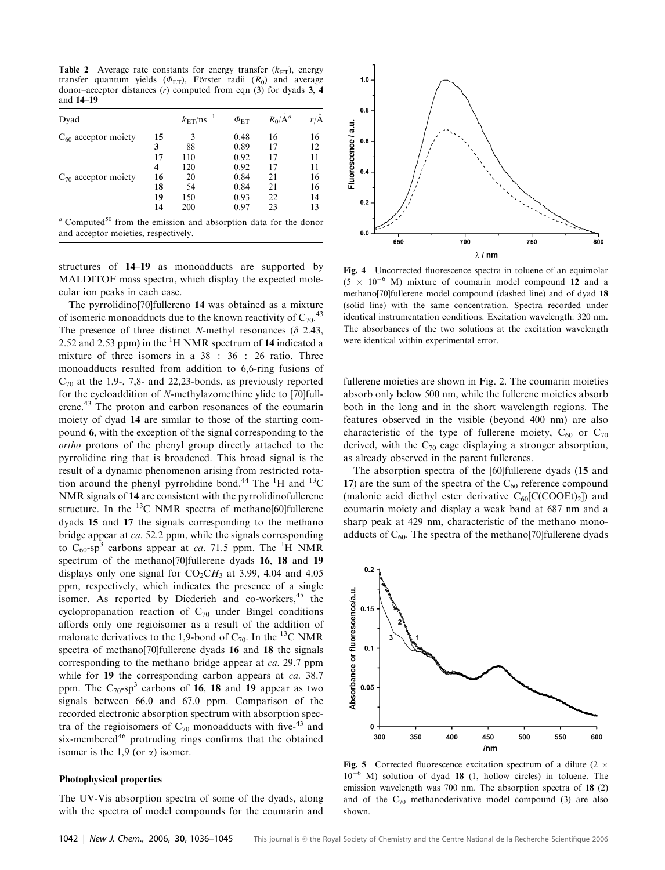**Table 2** Average rate constants for energy transfer  $(k_{ET})$ , energy transfer quantum yields ( $\Phi_{ET}$ ), Förster radii ( $R_0$ ) and average donor–acceptor distances (r) computed from eqn (3) for dyads 3, 4 and 14–19

| Dyad                                                                                                                        |    | $k_{\text{ET}}$ /ns <sup>-1</sup> | $\Phi_{\rm ET}$ | $R_0/\AA^a$ | $r/\check{A}$ |
|-----------------------------------------------------------------------------------------------------------------------------|----|-----------------------------------|-----------------|-------------|---------------|
| $C_{60}$ acceptor moiety                                                                                                    | 15 | 3                                 | 0.48            | 16          | 16            |
|                                                                                                                             | 3  | 88                                | 0.89            | 17          | 12            |
|                                                                                                                             | 17 | 110                               | 0.92            | 17          | 11            |
|                                                                                                                             | 4  | 120                               | 0.92            | 17          | 11            |
| $C_{70}$ acceptor moiety                                                                                                    | 16 | 20                                | 0.84            | 21          | 16            |
|                                                                                                                             | 18 | 54                                | 0.84            | 21          | 16            |
|                                                                                                                             | 19 | 150                               | 0.93            | 22          | 14            |
|                                                                                                                             | 14 | 200                               | 0.97            | 23          | 13            |
| $\alpha$ Computed <sup>50</sup> from the emission and absorption data for the donor<br>and acceptor moieties, respectively. |    |                                   |                 |             |               |

structures of 14–19 as monoadducts are supported by MALDITOF mass spectra, which display the expected molecular ion peaks in each case.

The pyrrolidino[70]fullereno 14 was obtained as a mixture of isomeric monoadducts due to the known reactivity of  $C_{70}$ .<sup>43</sup> The presence of three distinct N-methyl resonances ( $\delta$  2.43, 2.52 and 2.53 ppm) in the  ${}^{1}H$  NMR spectrum of 14 indicated a mixture of three isomers in a 38 : 36 : 26 ratio. Three monoadducts resulted from addition to 6,6-ring fusions of  $C_{70}$  at the 1,9-, 7,8- and 22,23-bonds, as previously reported for the cycloaddition of N-methylazomethine ylide to [70]fullerene.<sup>43</sup> The proton and carbon resonances of the coumarin moiety of dyad 14 are similar to those of the starting compound 6, with the exception of the signal corresponding to the ortho protons of the phenyl group directly attached to the pyrrolidine ring that is broadened. This broad signal is the result of a dynamic phenomenon arising from restricted rotation around the phenyl-pyrrolidine bond.<sup>44</sup> The  ${}^{1}H$  and  ${}^{13}C$ NMR signals of 14 are consistent with the pyrrolidinofullerene structure. In the  $^{13}$ C NMR spectra of methano[60]fullerene dyads 15 and 17 the signals corresponding to the methano bridge appear at ca. 52.2 ppm, while the signals corresponding to  $C_{60}$ -sp<sup>3</sup> carbons appear at *ca*. 71.5 ppm. The <sup>1</sup>H NMR spectrum of the methano[70]fullerene dyads 16, 18 and 19 displays only one signal for  $CO<sub>2</sub>CH<sub>3</sub>$  at 3.99, 4.04 and 4.05 ppm, respectively, which indicates the presence of a single isomer. As reported by Diederich and co-workers,  $45$  the cyclopropanation reaction of  $C_{70}$  under Bingel conditions affords only one regioisomer as a result of the addition of malonate derivatives to the 1,9-bond of  $C_{70}$ . In the <sup>13</sup>C NMR spectra of methano[70]fullerene dyads 16 and 18 the signals corresponding to the methano bridge appear at ca. 29.7 ppm while for 19 the corresponding carbon appears at *ca*. 38.7 ppm. The  $C_{70}$ -sp<sup>3</sup> carbons of 16, 18 and 19 appear as two signals between 66.0 and 67.0 ppm. Comparison of the recorded electronic absorption spectrum with absorption spectra of the regioisomers of  $C_{70}$  monoadducts with five-<sup>43</sup> and six-membered<sup>46</sup> protruding rings confirms that the obtained isomer is the 1,9 (or  $\alpha$ ) isomer.

#### Photophysical properties

The UV-Vis absorption spectra of some of the dyads, along with the spectra of model compounds for the coumarin and



Fig. 4 Uncorrected fluorescence spectra in toluene of an equimolar  $(5 \times 10^{-6}$  M) mixture of coumarin model compound 12 and a methano[70]fullerene model compound (dashed line) and of dyad 18 (solid line) with the same concentration. Spectra recorded under identical instrumentation conditions. Excitation wavelength: 320 nm. The absorbances of the two solutions at the excitation wavelength were identical within experimental error.

fullerene moieties are shown in Fig. 2. The coumarin moieties absorb only below 500 nm, while the fullerene moieties absorb both in the long and in the short wavelength regions. The features observed in the visible (beyond 400 nm) are also characteristic of the type of fullerene moiety,  $C_{60}$  or  $C_{70}$ derived, with the  $C_{70}$  cage displaying a stronger absorption, as already observed in the parent fullerenes.

The absorption spectra of the [60]fullerene dyads (15 and 17) are the sum of the spectra of the  $C_{60}$  reference compound (malonic acid diethyl ester derivative  $C_{60}$ [C(COOEt)<sub>2</sub>]) and coumarin moiety and display a weak band at 687 nm and a sharp peak at 429 nm, characteristic of the methano monoadducts of  $C_{60}$ . The spectra of the methano[70]fullerene dyads



Fig. 5 Corrected fluorescence excitation spectrum of a dilute (2  $\times$  $10^{-6}$  M) solution of dyad 18 (1, hollow circles) in toluene. The emission wavelength was 700 nm. The absorption spectra of 18 (2) and of the  $C_{70}$  methanoderivative model compound (3) are also shown.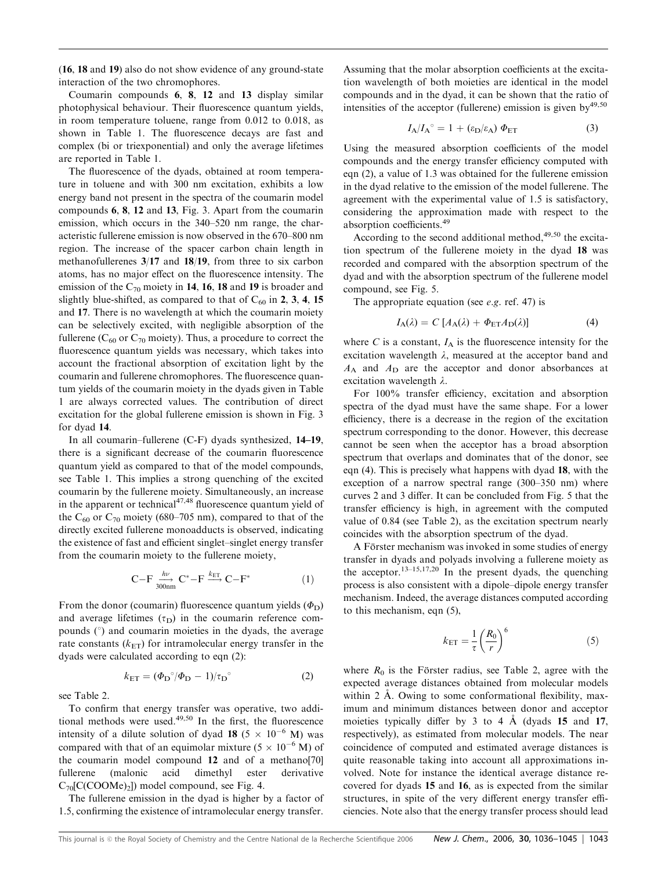(16, 18 and 19) also do not show evidence of any ground-state interaction of the two chromophores.

Coumarin compounds 6, 8, 12 and 13 display similar photophysical behaviour. Their fluorescence quantum yields, in room temperature toluene, range from 0.012 to 0.018, as shown in Table 1. The fluorescence decays are fast and complex (bi or triexponential) and only the average lifetimes are reported in Table 1.

The fluorescence of the dyads, obtained at room temperature in toluene and with 300 nm excitation, exhibits a low energy band not present in the spectra of the coumarin model compounds 6, 8, 12 and 13, Fig. 3. Apart from the coumarin emission, which occurs in the 340–520 nm range, the characteristic fullerene emission is now observed in the 670–800 nm region. The increase of the spacer carbon chain length in methanofullerenes 3/17 and 18/19, from three to six carbon atoms, has no major effect on the fluorescence intensity. The emission of the  $C_{70}$  moiety in 14, 16, 18 and 19 is broader and slightly blue-shifted, as compared to that of  $C_{60}$  in 2, 3, 4, 15 and 17. There is no wavelength at which the coumarin moiety can be selectively excited, with negligible absorption of the fullerene ( $C_{60}$  or  $C_{70}$  moiety). Thus, a procedure to correct the fluorescence quantum yields was necessary, which takes into account the fractional absorption of excitation light by the coumarin and fullerene chromophores. The fluorescence quantum yields of the coumarin moiety in the dyads given in Table 1 are always corrected values. The contribution of direct excitation for the global fullerene emission is shown in Fig. 3 for dyad 14.

In all coumarin–fullerene (C-F) dyads synthesized, 14–19, there is a significant decrease of the coumarin fluorescence quantum yield as compared to that of the model compounds, see Table 1. This implies a strong quenching of the excited coumarin by the fullerene moiety. Simultaneously, an increase in the apparent or technical $4^{47,48}$  fluorescence quantum yield of the C<sub>60</sub> or C<sub>70</sub> moiety (680–705 nm), compared to that of the directly excited fullerene monoadducts is observed, indicating the existence of fast and efficient singlet–singlet energy transfer from the coumarin moiety to the fullerene moiety,

$$
C-F \xrightarrow[300nm]{h\nu} C^* - F \xrightarrow{k_{ET}} C-F^*
$$
 (1)

From the donor (coumarin) fluorescence quantum yields  $(\Phi_D)$ and average lifetimes  $(\tau_D)$  in the coumarin reference compounds  $(°)$  and coumarin moieties in the dyads, the average rate constants  $(k_{ET})$  for intramolecular energy transfer in the dyads were calculated according to eqn (2):

$$
k_{\text{ET}} = (\Phi_{\text{D}}^{\circ}/\Phi_{\text{D}} - 1)/\tau_{\text{D}}^{\circ} \tag{2}
$$

see Table 2.

To confirm that energy transfer was operative, two additional methods were used. $49,50$  In the first, the fluorescence intensity of a dilute solution of dyad 18 (5  $\times$  10<sup>-6</sup> M) was compared with that of an equimolar mixture  $(5 \times 10^{-6} \text{ M})$  of the coumarin model compound 12 and of a methano[70] fullerene (malonic acid dimethyl ester derivative  $C_{70}$ [C(COOMe)<sub>2</sub>]) model compound, see Fig. 4.

The fullerene emission in the dyad is higher by a factor of 1.5, confirming the existence of intramolecular energy transfer.

Assuming that the molar absorption coefficients at the excitation wavelength of both moieties are identical in the model compounds and in the dyad, it can be shown that the ratio of intensities of the acceptor (fullerene) emission is given by  $49,50$ 

$$
I_{A}/I_{A}^{\circ} = 1 + (\varepsilon_{D}/\varepsilon_{A}) \Phi_{ET}
$$
 (3)

Using the measured absorption coefficients of the model compounds and the energy transfer efficiency computed with eqn (2), a value of 1.3 was obtained for the fullerene emission in the dyad relative to the emission of the model fullerene. The agreement with the experimental value of 1.5 is satisfactory, considering the approximation made with respect to the absorption coefficients.<sup>49</sup>

According to the second additional method,<sup>49,50</sup> the excitation spectrum of the fullerene moiety in the dyad 18 was recorded and compared with the absorption spectrum of the dyad and with the absorption spectrum of the fullerene model compound, see Fig. 5.

The appropriate equation (see e.g. ref. 47) is

$$
I_{A}(\lambda) = C \left[ A_{A}(\lambda) + \Phi_{ET} A_{D}(\lambda) \right] \tag{4}
$$

where  $C$  is a constant,  $I_A$  is the fluorescence intensity for the excitation wavelength  $\lambda$ , measured at the acceptor band and  $A_A$  and  $A_D$  are the acceptor and donor absorbances at excitation wavelength  $\lambda$ .

For 100% transfer efficiency, excitation and absorption spectra of the dyad must have the same shape. For a lower efficiency, there is a decrease in the region of the excitation spectrum corresponding to the donor. However, this decrease cannot be seen when the acceptor has a broad absorption spectrum that overlaps and dominates that of the donor, see eqn (4). This is precisely what happens with dyad 18, with the exception of a narrow spectral range (300–350 nm) where curves 2 and 3 differ. It can be concluded from Fig. 5 that the transfer efficiency is high, in agreement with the computed value of 0.84 (see Table 2), as the excitation spectrum nearly coincides with the absorption spectrum of the dyad.

A Förster mechanism was invoked in some studies of energy transfer in dyads and polyads involving a fullerene moiety as the acceptor.<sup>13–15,17,20</sup> In the present dyads, the quenching process is also consistent with a dipole–dipole energy transfer mechanism. Indeed, the average distances computed according to this mechanism, eqn (5),

$$
k_{\text{ET}} = \frac{1}{\tau} \left( \frac{R_0}{r} \right)^6 \tag{5}
$$

where  $R_0$  is the Förster radius, see Table 2, agree with the expected average distances obtained from molecular models within  $2$  Å. Owing to some conformational flexibility, maximum and minimum distances between donor and acceptor moieties typically differ by  $3$  to  $4$  A (dyads 15 and 17, respectively), as estimated from molecular models. The near coincidence of computed and estimated average distances is quite reasonable taking into account all approximations involved. Note for instance the identical average distance recovered for dyads 15 and 16, as is expected from the similar structures, in spite of the very different energy transfer efficiencies. Note also that the energy transfer process should lead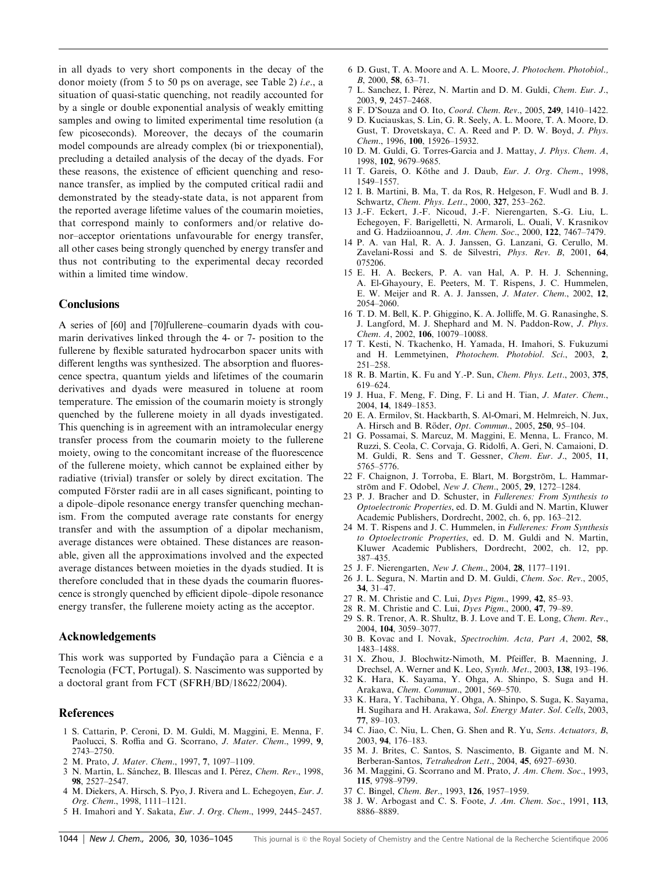in all dyads to very short components in the decay of the donor moiety (from 5 to 50 ps on average, see Table 2) i.e., a situation of quasi-static quenching, not readily accounted for by a single or double exponential analysis of weakly emitting samples and owing to limited experimental time resolution (a few picoseconds). Moreover, the decays of the coumarin model compounds are already complex (bi or triexponential), precluding a detailed analysis of the decay of the dyads. For these reasons, the existence of efficient quenching and resonance transfer, as implied by the computed critical radii and demonstrated by the steady-state data, is not apparent from the reported average lifetime values of the coumarin moieties, that correspond mainly to conformers and/or relative donor–acceptor orientations unfavourable for energy transfer, all other cases being strongly quenched by energy transfer and thus not contributing to the experimental decay recorded within a limited time window.

# **Conclusions**

A series of [60] and [70]fullerene–coumarin dyads with coumarin derivatives linked through the 4- or 7- position to the fullerene by flexible saturated hydrocarbon spacer units with different lengths was synthesized. The absorption and fluorescence spectra, quantum yields and lifetimes of the coumarin derivatives and dyads were measured in toluene at room temperature. The emission of the coumarin moiety is strongly quenched by the fullerene moiety in all dyads investigated. This quenching is in agreement with an intramolecular energy transfer process from the coumarin moiety to the fullerene moiety, owing to the concomitant increase of the fluorescence of the fullerene moiety, which cannot be explained either by radiative (trivial) transfer or solely by direct excitation. The computed Förster radii are in all cases significant, pointing to a dipole–dipole resonance energy transfer quenching mechanism. From the computed average rate constants for energy transfer and with the assumption of a dipolar mechanism, average distances were obtained. These distances are reasonable, given all the approximations involved and the expected average distances between moieties in the dyads studied. It is therefore concluded that in these dyads the coumarin fluorescence is strongly quenched by efficient dipole–dipole resonance energy transfer, the fullerene moiety acting as the acceptor.

#### Acknowledgements

This work was supported by Fundação para a Ciência e a Tecnologia (FCT, Portugal). S. Nascimento was supported by a doctoral grant from FCT (SFRH/BD/18622/2004).

## References

- 1 S. Cattarin, P. Ceroni, D. M. Guldi, M. Maggini, E. Menna, F. Paolucci, S. Roffia and G. Scorrano, J. Mater. Chem., 1999, 9, 2743–2750.
- 2 M. Prato, J. Mater. Chem., 1997, 7, 1097–1109.
- 3 N. Martin, L. Sánchez, B. Illescas and I. Pérez, Chem. Rev., 1998, 98, 2527–2547.
- 4 M. Diekers, A. Hirsch, S. Pyo, J. Rivera and L. Echegoyen, Eur. J. Org. Chem., 1998, 1111–1121.
- 5 H. Imahori and Y. Sakata, Eur. J. Org. Chem., 1999, 2445–2457.
- 6 D. Gust, T. A. Moore and A. L. Moore, J. Photochem. Photobiol., B, 2000, 58, 63–71.
- 7 L. Sanchez, I. Pérez, N. Martin and D. M. Guldi, Chem. Eur. J., 2003, 9, 2457–2468.
- 8 F. D'Souza and O. Ito, Coord. Chem. Rev., 2005, 249, 1410–1422.
- 9 D. Kuciauskas, S. Lin, G. R. Seely, A. L. Moore, T. A. Moore, D. Gust, T. Drovetskaya, C. A. Reed and P. D. W. Boyd, J. Phys. Chem., 1996, 100, 15926–15932.
- 10 D. M. Guldi, G. Torres-Garcia and J. Mattay, J. Phys. Chem. A, 1998, 102, 9679–9685.
- 11 T. Gareis, O. Köthe and J. Daub, Eur. J. Org. Chem., 1998, 1549–1557.
- 12 I. B. Martini, B. Ma, T. da Ros, R. Helgeson, F. Wudl and B. J. Schwartz, Chem. Phys. Lett., 2000, 327, 253–262.
- 13 J.-F. Eckert, J.-F. Nicoud, J.-F. Nierengarten, S.-G. Liu, L. Echegoyen, F. Barigelletti, N. Armaroli, L. Ouali, V. Krasnikov and G. Hadziioannou, J. Am. Chem. Soc., 2000, 122, 7467–7479.
- 14 P. A. van Hal, R. A. J. Janssen, G. Lanzani, G. Cerullo, M. Zavelani-Rossi and S. de Silvestri, Phys. Rev. B, 2001, 64, 075206.
- 15 E. H. A. Beckers, P. A. van Hal, A. P. H. J. Schenning, A. El-Ghayoury, E. Peeters, M. T. Rispens, J. C. Hummelen, E. W. Meijer and R. A. J. Janssen, J. Mater. Chem., 2002, 12, 2054–2060.
- 16 T. D. M. Bell, K. P. Ghiggino, K. A. Jolliffe, M. G. Ranasinghe, S. J. Langford, M. J. Shephard and M. N. Paddon-Row, J. Phys. Chem. A, 2002, 106, 10079–10088.
- 17 T. Kesti, N. Tkachenko, H. Yamada, H. Imahori, S. Fukuzumi and H. Lemmetyinen, Photochem. Photobiol. Sci., 2003, 2, 251–258.
- 18 R. B. Martin, K. Fu and Y.-P. Sun, Chem. Phys. Lett., 2003, 375, 619–624.
- 19 J. Hua, F. Meng, F. Ding, F. Li and H. Tian, J. Mater. Chem., 2004, 14, 1849–1853.
- 20 E. A. Ermilov, St. Hackbarth, S. Al-Omari, M. Helmreich, N. Jux, A. Hirsch and B. Röder, *Opt. Commun.*, 2005, 250, 95–104.
- 21 G. Possamai, S. Marcuz, M. Maggini, E. Menna, L. Franco, M. Ruzzi, S. Ceola, C. Corvaja, G. Ridolfi, A. Geri, N. Camaioni, D. M. Guldi, R. Sens and T. Gessner, Chem. Eur. J., 2005, 11, 5765–5776.
- 22 F. Chaignon, J. Torroba, E. Blart, M. Borgström, L. Hammarström and F. Odobel, New J. Chem., 2005, 29, 1272–1284.
- 23 P. J. Bracher and D. Schuster, in Fullerenes: From Synthesis to Optoelectronic Properties, ed. D. M. Guldi and N. Martin, Kluwer Academic Publishers, Dordrecht, 2002, ch. 6, pp. 163–212.
- 24 M. T. Rispens and J. C. Hummelen, in Fullerenes: From Synthesis to Optoelectronic Properties, ed. D. M. Guldi and N. Martin, Kluwer Academic Publishers, Dordrecht, 2002, ch. 12, pp. 387–435.
- 25 J. F. Nierengarten, New J. Chem., 2004, 28, 1177–1191.
- 26 J. L. Segura, N. Martin and D. M. Guldi, Chem. Soc. Rev., 2005, 34, 31–47.
- 27 R. M. Christie and C. Lui, Dyes Pigm., 1999, 42, 85–93.
- 28 R. M. Christie and C. Lui, Dyes Pigm., 2000, 47, 79–89.
- 29 S. R. Trenor, A. R. Shultz, B. J. Love and T. E. Long, Chem. Rev., 2004, 104, 3059–3077.
- 30 B. Kovac and I. Novak, Spectrochim. Acta, Part A, 2002, 58, 1483–1488.
- 31 X. Zhou, J. Blochwitz-Nimoth, M. Pfeiffer, B. Maenning, J. Drechsel, A. Werner and K. Leo, Synth. Met., 2003, 138, 193–196.
- 32 K. Hara, K. Sayama, Y. Ohga, A. Shinpo, S. Suga and H. Arakawa, Chem. Commun., 2001, 569–570.
- 33 K. Hara, Y. Tachibana, Y. Ohga, A. Shinpo, S. Suga, K. Sayama, H. Sugihara and H. Arakawa, Sol. Energy Mater. Sol. Cells, 2003, 77, 89–103.
- 34 C. Jiao, C. Niu, L. Chen, G. Shen and R. Yu, Sens. Actuators, B, 2003, 94, 176–183.
- 35 M. J. Brites, C. Santos, S. Nascimento, B. Gigante and M. N. Berberan-Santos, Tetrahedron Lett., 2004, 45, 6927–6930.
- 36 M. Maggini, G. Scorrano and M. Prato, J. Am. Chem. Soc., 1993, 115, 9798–9799.
- 37 C. Bingel, Chem. Ber., 1993, 126, 1957–1959.
- 38 J. W. Arbogast and C. S. Foote, J. Am. Chem. Soc., 1991, 113, 8886–8889.